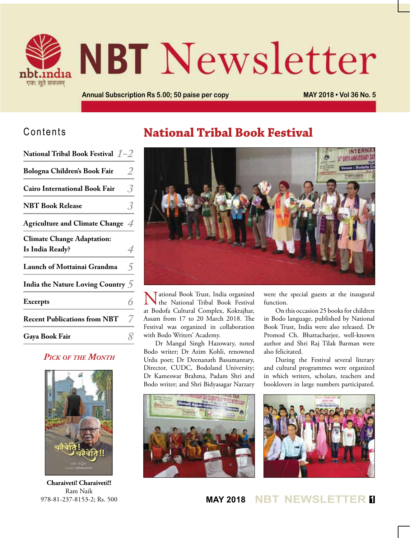

# **NBT** Newsletter

**Annual Subscription Rs 5.00; 50 paise per copy MAY 2018 • Vol 36 No. 5**

### Contents

| National Tribal Book Festival $1-2$                  |                |
|------------------------------------------------------|----------------|
| Bologna Children's Book Fair                         | 2              |
| <b>Cairo International Book Fair</b>                 | 3.             |
| <b>NBT Book Release</b>                              |                |
| Agriculture and Climate Change 4                     |                |
| <b>Climate Change Adaptation:</b><br>Is India Ready? |                |
| Launch of Mottainai Grandma                          | $\overline{5}$ |
| India the Nature Loving Country 5                    |                |
| <b>Excerpts</b>                                      |                |
| <b>Recent Publications from NBT</b>                  |                |
| Gaya Book Fair                                       |                |
|                                                      |                |

#### *Pick of the Month*



**Charaiveti! Charaiveti!!** Ram Naik 978-81-237-8153-2; Rs. 500

## **National Tribal Book Festival**



National Book Trust, India organized the National Tribal Book Festival at Bodofa Cultural Complex, Kokrajhar, Assam from 17 to 20 March 2018. The Festival was organized in collaboration with Bodo Writers' Academy.

Dr Mangal Singh Hazowary, noted Bodo writer; Dr Azim Kohli, renowned Urdu poet; Dr Deenanath Basumantary, Director, CUDC, Bodoland University; Dr Kameswar Brahma, Padam Shri and Bodo writer; and Shri Bidyasagar Narzary



were the special guests at the inaugural function.

On this occasion 25 books for children in Bodo language, published by National Book Trust, India were also released. Dr Promod Ch. Bhattacharjee, well-known author and Shri Raj Tilak Barman were also felicitated.

During the Festival several literary and cultural programmes were organized in which writers, scholars, teachers and booklovers in large numbers participated.



**MAY 2018 NBT NEWSLETTER <sup>1</sup>**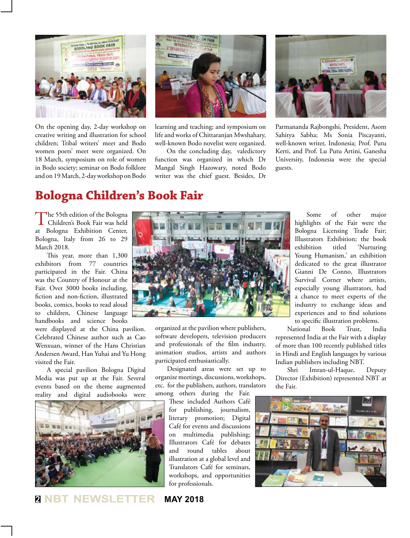

On the opening day, 2-day workshop on creative writing and illustration for school children; Tribal writers' meet and Bodo women poets' meet were organized. On 18 March, symposium on role of women in Bodo society; seminar on Bodo folklore and on 19 March, 2-day workshop on Bodo



learning and teaching; and symposium on life and works of Chittaranjan Mwshahary, well-known Bodo novelist were organized.

On the concluding day, valedictory function was organized in which Dr Mangal Singh Hazowary, noted Bodo writer was the chief guest. Besides, Dr



Parmananda Rajbongshi, President, Asom Sahitya Sabha; Ms Sonia Piscayanti, well-known writer, Indonesia; Prof. Putu Kerti, and Prof. Lu Putu Artini, Ganesha University, Indonesia were the special guests.

## **Bologna Children's Book Fair**

The 55th edition of the Bologna<br>Children's Book Fair was held at Bologna Exhibition Center, Bologna, Italy from 26 to 29 March 2018.

This year, more than 1,300 exhibitors from 77 countries participated in the Fair. China was the Country of Honour at the Fair. Over 3000 books including, fiction and non-fiction, illustrated books, comics, books to read aloud to children, Chinese language handbooks and science books

were displayed at the China pavilion. Celebrated Chinese author such as Cao Wenxuan, winner of the Hans Christian Andersen Award, Han Yuhai and Yu Hong visited the Fair.

A special pavilion Bologna Digital Media was put up at the Fair. Several events based on the theme augmented reality and digital audiobooks were





organized at the pavilion where publishers, software developers, television producers and professionals of the film industry, animation studios, artists and authors participated enthusiastically.

Designated areas were set up to organize meetings, discussions, workshops, etc. for the publishers, authors, translators among others during the Fair.

These included Authors Café for publishing, journalism, literary promotion; Digital Café for events and discussions on multimedia publishing; Illustrators Café for debates and round tables about illustration at a global level and Translators Café for seminars, workshops, and opportunities for professionals.

Some of other major highlights of the Fair were the Bologna Licensing Trade Fair; Illustrators Exhibition; the book exhibition titled 'Nurturing Young Humanism,' an exhibition dedicated to the great illustrator Gianni De Conno, Illustrators Survival Corner where artists, especially young illustrators, had a chance to meet experts of the industry to exchange ideas and experiences and to find solutions to specific illustration problems.

National Book Trust, India represented India at the Fair with a display of more than 100 recently published titles in Hindi and English languages by various Indian publishers including NBT.

Shri Imran-ul-Haque, Deputy Director (Exhibition) represented NBT at the Fair.



**<sup>2</sup> NBT NEWSLETTER MAY 2018**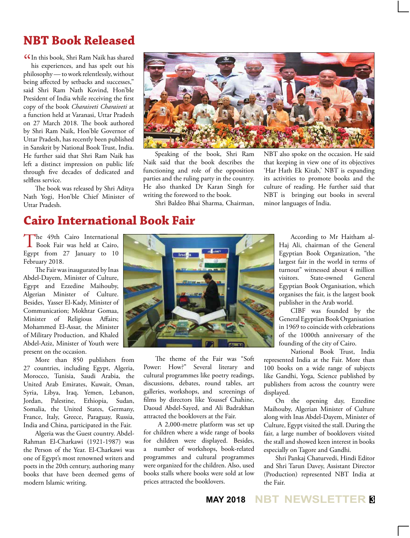## **NBT Book Released**

**ICC** In this book, Shri Ram Naik has shared<br>his experiences, and has spelt out his his experiences, and has spelt out his philosophy — to work relentlessly, without being affected by setbacks and successes," said Shri Ram Nath Kovind, Hon'ble President of India while receiving the first copy of the book *Charaiveti Charaiveti* at a function held at Varanasi, Uttar Pradesh on 27 March 2018. The book authored by Shri Ram Naik, Hon'ble Governor of Uttar Pradesh, has recently been published in Sanskrit by National Book Trust, India. He further said that Shri Ram Naik has left a distinct impression on public life through five decades of dedicated and selfless service.

The book was released by Shri Aditya Nath Yogi, Hon'ble Chief Minister of Uttar Pradesh.



Speaking of the book, Shri Ram Naik said that the book describes the functioning and role of the opposition parties and the ruling party in the country. He also thanked Dr Karan Singh for writing the foreword to the book.

Shri Baldeo Bhai Sharma, Chairman,

NBT also spoke on the occasion. He said that keeping in view one of its objectives 'Har Hath Ek Kitab,' NBT is expanding its activities to promote books and the culture of reading. He further said that NBT is bringing out books in several minor languages of India.

## **Cairo International Book Fair**

The 49th Cairo International<br>Book Fair was held at Cairo, Egypt from 27 January to 10 February 2018.

The Fair was inaugurated by Inas Abdel-Dayem, Minister of Culture, Egypt and Ezzedine Maihouby, Algerian Minister of Culture. Besides, Yasser El-Kady, Minister of Communication; Mokhtar Gomaa, Minister of Religious Affairs; Mohammed El-Assar, the Minister of Military Production, and Khaled Abdel-Aziz, Minister of Youth were present on the occasion.

More than 850 publishers from 27 countries, including Egypt, Algeria, Morocco, Tunisia, Saudi Arabia, the United Arab Emirates, Kuwait, Oman, Syria, Libya, Iraq, Yemen, Lebanon, Jordan, Palestine, Ethiopia, Sudan, Somalia, the United States, Germany, France, Italy, Greece, Paraguay, Russia, India and China, participated in the Fair.

Algeria was the Guest country. Abdel-Rahman El-Charkawi (1921-1987) was the Person of the Year. El-Charkawi was one of Egypt's most renowned writers and poets in the 20th century, authoring many books that have been deemed gems of modern Islamic writing.



The theme of the Fair was "Soft Power: How?" Several literary and cultural programmes like poetry readings, discussions, debates, round tables, art galleries, workshops, and screenings of films by directors like Youssef Chahine, Daoud Abdel-Sayed, and Ali Badrakhan attracted the booklovers at the Fair.

 A 2,000-metre platform was set up for children where a wide range of books for children were displayed. Besides, a number of workshops, book-related programmes and cultural programmes were organized for the children. Also, used books stalls where books were sold at low prices attracted the booklovers.

According to Mr Haitham al-Haj Ali, chairman of the General Egyptian Book Organization, "the largest fair in the world in terms of turnout" witnessed about 4 million visitors. State-owned General Egyptian Book Organisation, which organises the fair, is the largest book publisher in the Arab world.

CIBF was founded by the General Egyptian Book Organisation in 1969 to coincide with celebrations of the 1000th anniversary of the founding of the city of Cairo.

National Book Trust, India represented India at the Fair. More than 100 books on a wide range of subjects like Gandhi, Yoga, Science published by publishers from across the country were displayed.

On the opening day, Ezzedine Maihouby, Algerian Minister of Culture along with Inas Abdel-Dayem, Minister of Culture, Egypt visited the stall. During the fair, a large number of booklovers visited the stall and showed keen interest in books especially on Tagore and Gandhi.

Shri Pankaj Chaturvedi, Hindi Editor and Shri Tarun Davey, Assistant Director (Production) represented NBT India at the Fair.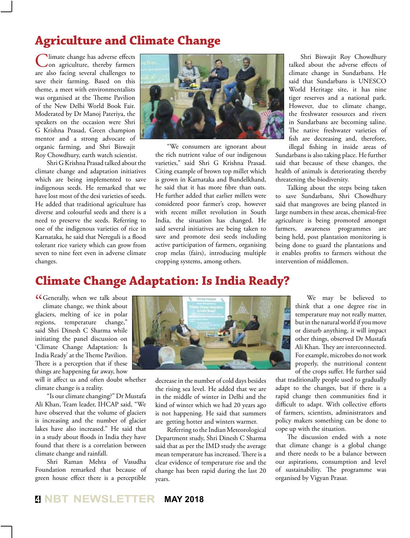## **Agriculture and Climate Change**

Climate change has adverse effects on agriculture, thereby farmers are also facing several challenges to save their farming. Based on this theme, a meet with environmentalists was organised at the Theme Pavilion of the New Delhi World Book Fair. Moderated by Dr Manoj Pateriya, the speakers on the occasion were Shri G Krishna Prasad, Green champion mentor and a strong advocate of organic farming, and Shri Biswajit Roy Chowdhury, earth watch scientist.

Shri G Krishna Prasad talked about the climate change and adaptation initiatives which are being implemented to save indigenous seeds. He remarked that we have lost most of the desi varieties of seeds. He added that traditional agriculture has diverse and colourful seeds and there is a need to preserve the seeds. Referring to one of the indigenous varieties of rice in Karnataka, he said that Nereguli is a flood tolerant rice variety which can grow from seven to nine feet even in adverse climate changes.



"We consumers are ignorant about the rich nutrient value of our indigenous varieties," said Shri G Krishna Prasad. Citing example of brown top millet which is grown in Karnataka and Bundelkhand, he said that it has more fibre than oats. He further added that earlier millets were considered poor farmer's crop, however with recent millet revolution in South India, the situation has changed. He said several initiatives are being taken to save and promote desi seeds including active participation of farmers, organising crop melas (fairs), introducing multiple cropping systems, among others.

Shri Biswajit Roy Chowdhury talked about the adverse effects of climate change in Sundarbans. He said that Sundarbans is UNESCO World Heritage site, it has nine tiger reserves and a national park. However, due to climate change, the freshwater resources and rivers in Sundarbans are becoming saline. The native freshwater varieties of fish are decreasing and, therefore,

illegal fishing in inside areas of Sundarbans is also taking place. He further said that because of these changes, the health of animals is deteriorating thereby threatening the biodiversity.

Talking about the steps being taken to save Sundarbans, Shri Chowdhury said that mangroves are being planted in large numbers in these areas, chemical-free agriculture is being promoted amongst farmers, awareness programmes are being held, post plantation monitoring is being done to guard the plantations and it enables profits to farmers without the intervention of middlemen.

## **Climate Change Adaptation: Is India Ready?**

**CG**enerally, when we talk about climate change, we think about climate change, we think about glaciers, melting of ice in polar regions, temperature change," said Shri Dinesh C Sharma while initiating the panel discussion on 'Climate Change Adaptation: Is India Ready' at the Theme Pavilion. There is a perception that if these things are happening far away, how

will it affect us and often doubt whether climate change is a reality.

"Is our climate changing?" Dr Mustafa Ali Khan, Team leader, IHCAP said, "We have observed that the volume of glaciers is increasing and the number of glacier lakes have also increased." He said that in a study about floods in India they have found that there is a correlation between climate change and rainfall.

Shri Raman Mehta of Vasudha Foundation remarked that because of green house effect there is a perceptible



decrease in the number of cold days besides the rising sea level. He added that we are in the middle of winter in Delhi and the kind of winter which we had 20 years ago is not happening. He said that summers are getting hotter and winters warmer.

Referring to the Indian Meteorological Department study, Shri Dinesh C Sharma said that as per the IMD study the average mean temperature has increased. There is a clear evidence of temperature rise and the change has been rapid during the last 20 years.

We may be believed to think that a one degree rise in temperature may not really matter, but in the natural world if you move or disturb anything, it will impact other things, observed Dr Mustafa Ali Khan. They are interconnected. For example, microbes do not work properly, the nutritional content of the crops suffer. He further said

that traditionally people used to gradually adapt to the changes, but if there is a rapid change then communities find it difficult to adapt. With collective efforts of farmers, scientists, administrators and policy makers something can be done to cope up with the situation.

The discussion ended with a note that climate change is a global change and there needs to be a balance between our aspirations, consumption and level of sustainability. The programme was organised by Vigyan Prasar.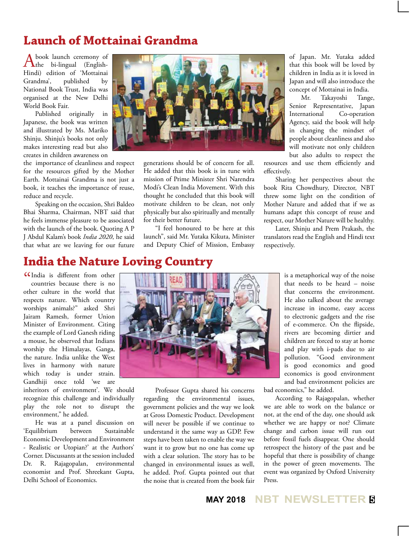## **Launch of Mottainai Grandma**

A book launch ceremony of<br>
the bi-lingual (English-Hindi) edition of 'Mottainai Grandma', published by National Book Trust, India was organised at the New Delhi World Book Fair.

Published originally in Japanese, the book was written and illustrated by Ms. Mariko Shinju. Shinju's books not only makes interesting read but also creates in children awareness on

the importance of cleanliness and respect for the resources gifted by the Mother Earth. Mottainai Grandma is not just a book, it teaches the importance of reuse, reduce and recycle.

Speaking on the occasion, Shri Baldeo Bhai Sharma, Chairman, NBT said that he feels immense pleasure to be associated with the launch of the book. Quoting A P J Abdul Kalam's book *India 2020*, he said that what are we leaving for our future



generations should be of concern for all. He added that this book is in tune with mission of Prime Minister Shri Narendra Modi's Clean India Movement. With this thought he concluded that this book will motivate children to be clean, not only physically but also spiritually and mentally for their better future.

"I feel honoured to be here at this launch", said Mr. Yutaka Kikuta, Minister and Deputy Chief of Mission, Embassy

of Japan. Mr. Yutaka added that this book will be loved by children in India as it is loved in Japan and will also introduce the concept of Mottainai in India.

Mr. Takayoshi Tange, Senior Representative, Japan International Co-operation Agency, said the book will help in changing the mindset of people about cleanliness and also will motivate not only children but also adults to respect the

resources and use them efficiently and effectively.

Sharing her perspectives about the book Rita Chowdhury, Director, NBT threw some light on the condition of Mother Nature and added that if we as humans adapt this concept of reuse and respect, our Mother Nature will be healthy.

Later, Shinju and Prem Prakash, the translators read the English and Hindi text respectively.

## **India the Nature Loving Country**

" India is different from other countries because there is no other culture in the world that respects nature. Which country worships animals?" asked Shri Jairam Ramesh, former Union Minister of Environment. Citing the example of Lord Ganesh riding a mouse, he observed that Indians worship the Himalayas, Ganga, the nature. India unlike the West lives in harmony with nature which today is under strain. Gandhiji once told 'we are

inheritors of environment'. We should recognize this challenge and individually play the role not to disrupt the environment," he added.

He was at a panel discussion on 'Equilibrium between Sustainable Economic Development and Environment - Realistic or Utopian?' at the Authors' Corner. Discussants at the session included Dr. R. Rajagopalan, environmental economist and Prof. Shreekant Gupta, Delhi School of Economics.



Professor Gupta shared his concerns regarding the environmental issues, government policies and the way we look at Gross Domestic Product. Development will never be possible if we continue to understand it the same way as GDP. Few steps have been taken to enable the way we want it to grow but no one has come up with a clear solution. The story has to be changed in environmental issues as well, he added. Prof. Gupta pointed out that the noise that is created from the book fair

is a metaphorical way of the noise that needs to be heard – noise that concerns the environment. He also talked about the average increase in income, easy access to electronic gadgets and the rise of e-commerce. On the flipside, rivers are becoming dirtier and children are forced to stay at home and play with i-pads due to air pollution. "Good environment is good economics and good economics is good environment and bad environment policies are

bad economics," he added.

According to Rajagopalan, whether we are able to work on the balance or not, at the end of the day, one should ask whether we are happy or not? Climate change and carbon issue will run out before fossil fuels disappear. One should retrospect the history of the past and be hopeful that there is possibility of change in the power of green movements. The event was organized by Oxford University Press.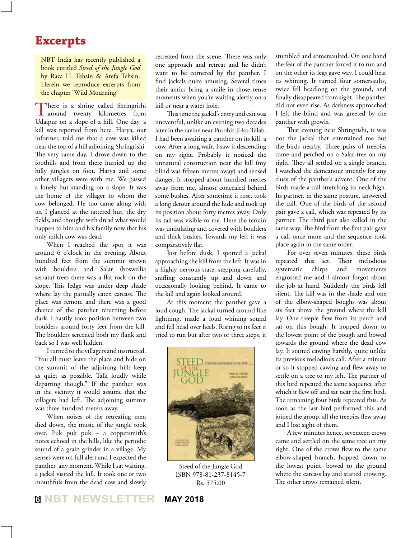## **Excerpts**

NBT India has recently published a book entitled *Steed of the Jungle God* by Raza H. Tehsin & Arefa Tehsin. Herein we reproduce excerpts from the chapter 'Wild Mourning'

There is a shrine called Shringrishi<br>around twenty kilometres from Udaipur on a slope of a hill. One day, a kill was reported from here. Harya, our informer, told me that a cow was killed near the top of a hill adjoining Shringrishi. The very same day, I drove down to the foothills and from there hurried up the hilly jungles on foot. Harya and some other villagers were with me. We passed a lonely hut standing on a slope. It was the home of the villager to whom the cow belonged. He too came along with us. I glanced at the tattered hut, the dry fields, and thought with dread what would happen to him and his family now that his only milch cow was dead.

When I reached the spot it was around 6 o'clock in the evening. About hundred feet from the summit strewn with boulders and Salar (boswellia serrata) trees there was a flat rock on the slope. This ledge was under deep shade where lay the partially eaten carcass. The place was remote and there was a good chance of the panther returning before dark. I hastily took position between two boulders around forty feet from the kill. The boulders screened both my flank and back so I was well hidden.

I turned to the villagers and instructed, "You all must leave the place and hide on the summit of the adjoining hill; keep as quiet as possible. Talk loudly while departing though." If the panther was in the vicinity it would assume that the villagers had left. The adjoining summit was three hundred meters away.

When noises of the retreating men died down, the music of the jungle took over. Puk puk puk – a coppersmith's notes echoed in the hills, like the periodic sound of a grain grinder in a village. My senses were on full alert and I expected the panther any moment. While I sat waiting, a jackal visited the kill. It took one or two mouthfuls from the dead cow and slowly

retreated from the scene. There was only one approach and retreat and he didn't want to be cornered by the panther. I find jackals quite amusing. Several times their antics bring a smile in those tense moments when you're waiting alertly on a kill or near a water hole.

This time the jackal's entry and exit was uneventful, unlike an evening two decades later in the ravine near Purohit-ji-ka-Talab. I had been awaiting a panther on its kill, a cow. After a long wait, I saw it descending on my right. Probably it noticed the unnatural construction near the kill (my blind was fifteen metres away) and sensed danger. It stopped about hundred metres away from me, almost concealed behind some bushes. After sometime it rose, took a long detour around the hide and took up its position about forty metres away. Only its tail was visible to me. Here the terrain was undulating and covered with boulders and thick bushes. Towards my left it was comparatively flat.

Just before dusk, I spotted a jackal approaching the kill from the left. It was in a highly nervous state, stepping carefully, sniffing constantly up and down and occasionally looking behind. It came to the kill and again looked around.

At this moment the panther gave a loud cough. The jackal turned around like lightning, made a loud whining sound and fell head over heels. Rising to its feet it tried to run but after two or three steps, it



Steed of the Jungle God ISBN 978-81-237-8145-7 Rs. 575.00

stumbled and somersaulted. On one hand the fear of the panther forced it to run and on the other its legs gave way. I could hear its whining. It turned four somersaults, twice fell headlong on the ground, and finally disappeared from sight. The panther did not even rise. As darkness approached I left the blind and was greeted by the panther with growls.

That evening near Shringrishi, it was not the jackal that entertained me but the birds nearby. Three pairs of treepies came and perched on a Salar tree on my right. They all settled on a single branch. I watched the demeanour intently for any clues of the panther's advent. One of the birds made a call stretching its neck high. Its partner, in the same posture, answered the call. One of the birds of the second pair gave a call, which was repeated by its partner. The third pair also called in the same way. The bird from the first pair gave a call once more and the sequence took place again in the same order.

For over seven minutes, these birds repeated this act. Their melodious systematic chirps and movements engrossed me and I almost forgot about the job at hand. Suddenly the birds fell silent. The kill was in the shade and one of the elbow-shaped boughs was about six feet above the ground where the kill lay. One treepie flew from its perch and sat on this bough. It hopped down to the lowest point of the bough and bowed towards the ground where the dead cow lay. It started cawing harshly, quite unlike its previous melodious call. After a minute or so it stopped cawing and flew away to settle on a tree to my left. The partner of this bird repeated the same sequence after which it flew off and sat near the first bird. The remaining four birds repeated this. As soon as the last bird performed this and joined the group, all the treepies flew away and I lost sight of them.

A few minutes hence, seventeen crows came and settled on the same tree on my right. One of the crows flew to the same elbow-shaped branch, hopped down to the lowest point, bowed to the ground where the carcass lay and started crowing. The other crows remained silent.

#### **<sup>6</sup> NBT NEWSLETTER MAY 2018**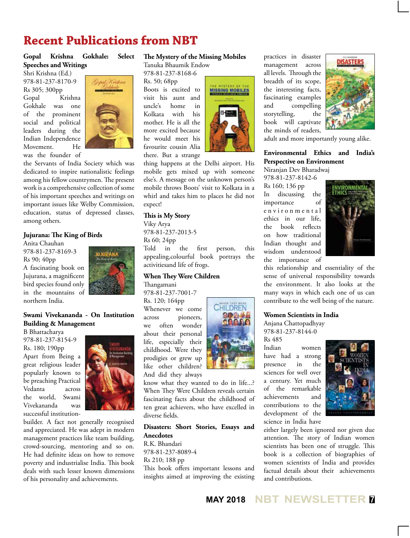## **Recent Publications from NBT**

#### **Gopal Krishna Gokhale: Select Speeches and Writings**

Shri Krishna (Ed.) 978-81-237-8170-9 Rs 305; 300pp Gopal Krishna Gokhale was one of the prominent social and political leaders during the Indian Independence Movement. He was the founder of



the Servants of India Society which was dedicated to inspire nationalistic feelings among his fellow countrymen. The present work is a comprehensive collection of some of his important speeches and writings on important issues like Welby Commission, education, status of depressed classes, among others.

#### **Jujurana: The King of Birds**

Anita Chauhan 978-81-237-8169-3 Rs 90; 40pp A fascinating book on Jujurana, a magnificent bird species found only in the mountains of northern India.



#### **Swami Vivekananda - On Institution Building & Management**

B Bhattacharya 978-81-237-8154-9 Rs. 180; 190pp Apart from Being a great religious leader popularly known to be preaching Practical Vedanta across the world, Swami Vivekananda was successful institution-



builder. A fact not generally recognised and appreciated. He was adept in modern management practices like team building, crowd-sourcing, mentoring and so on. He had definite ideas on how to remove poverty and industrialise India. This book deals with such lesser known dimensions of his personality and achievements.

#### **The Mystery of the Missing Mobiles**

Tanuka Bhaumik Endow

978-81-237-8168-6 Rs. 50; 68pp Boots is excited to visit his aunt and uncle's home in Kolkata with his mother. He is all the more excited because he would meet his favourite cousin Alia there. But a strange



thing happens at the Delhi airport. His mobile gets mixed up with someone else's. A message on the unknown person's mobile throws Boots' visit to Kolkata in a whirl and takes him to places he did not expect!

#### **This is My Story**

Viky Arya 978-81-237-2013-5 Rs 60; 24pp Told in the first person, this appealing,colourful book portrays the activitiesand life of frogs.

#### **When They Were Children**

Thangamani

978-81-237-7001-7 Rs. 120; 164pp Whenever we come across pioneers, we often wonder about their personal life, especially their childhood. Were they prodigies or grew up like other children? And did they always



know what they wanted to do in life...? When They Were Children reveals certain fascinating facts about the childhood of ten great achievers, who have excelled in diverse fields.

**Disasters: Short Stories, Essays and Anecdotes** R.K. Bhandari

978-81-237-8089-4 Rs 210; 188 pp This book offers important lessons and insights aimed at improving the existing practices in disaster management across all levels. Through the breadth of its scope, the interesting facts, fascinating examples and compelling storytelling, the book will captivate the minds of readers,



adult and more importantly young alike.

#### **Environmental Ethics and India's Perspective on Environment**

Niranjan Dev Bharadwaj 978-81-237-8142-6

Rs 160; 136 pp In discussing the importance of e n v i r o n m e n t a l ethics in our life, the book reflects on how traditional Indian thought and wisdom understood the importance of



this relationship and essentiality of the sense of universal responsibility towards the environment. It also looks at the many ways in which each one of us can contribute to the well being of the nature.

#### **Women Scientists in India**

Anjana Chattopadhyay 978-81-237-8144-0

Rs 485 Indian women have had a strong presence in the sciences for well over a century. Yet much of the remarkable achievements and contributions to the development of the science in India have



either largely been ignored nor given due attention. The story of Indian women scientists has been one of struggle. This book is a collection of biographies of women scientists of India and provides factual details about their achievements and contributions.